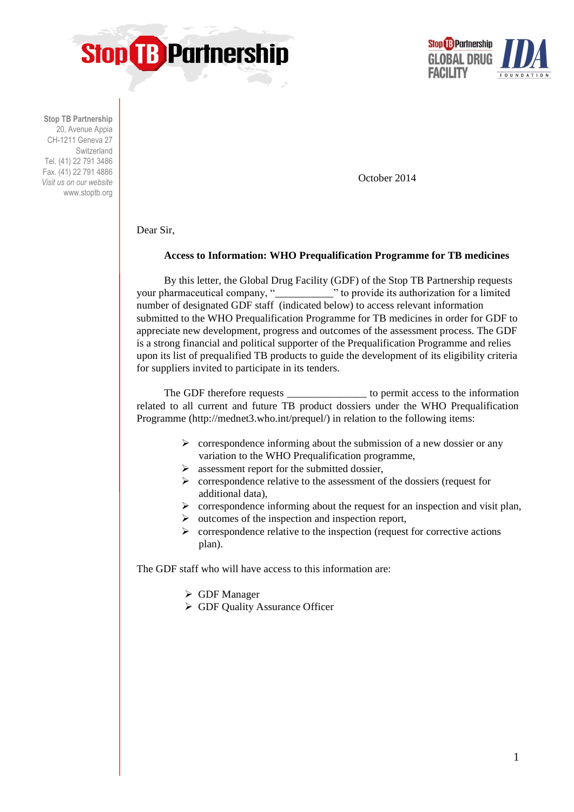



**Stop TB Partnership** 20, Avenue Appia CH-1211 Geneva 27 Switzerland Tel. (41) 22 791 3486 Fax. (41) 22 791 4886 *Visit us on our website* www.stoptb.org

October 2014

Dear Sir,

## **Access to Information: WHO Prequalification Programme for TB medicines**

By this letter, the Global Drug Facility (GDF) of the Stop TB Partnership requests your pharmaceutical company, "\_\_\_\_\_\_\_\_\_\_\_" to provide its authorization for a limited number of designated GDF staff (indicated below) to access relevant information submitted to the WHO Prequalification Programme for TB medicines in order for GDF to appreciate new development, progress and outcomes of the assessment process. The GDF is a strong financial and political supporter of the Prequalification Programme and relies upon its list of prequalified TB products to guide the development of its eligibility criteria for suppliers invited to participate in its tenders.

The GDF therefore requests \_\_\_\_\_\_\_\_\_\_\_\_\_\_\_\_\_\_\_\_ to permit access to the information related to all current and future TB product dossiers under the WHO Prequalification Programme (http://mednet3.who.int/prequel/) in relation to the following items:

- $\triangleright$  correspondence informing about the submission of a new dossier or any variation to the WHO Prequalification programme,
- $\triangleright$  assessment report for the submitted dossier,
- $\triangleright$  correspondence relative to the assessment of the dossiers (request for additional data),
- $\triangleright$  correspondence informing about the request for an inspection and visit plan,
- $\triangleright$  outcomes of the inspection and inspection report,
- $\triangleright$  correspondence relative to the inspection (request for corrective actions plan).

The GDF staff who will have access to this information are:

- GDF Manager
- GDF Quality Assurance Officer